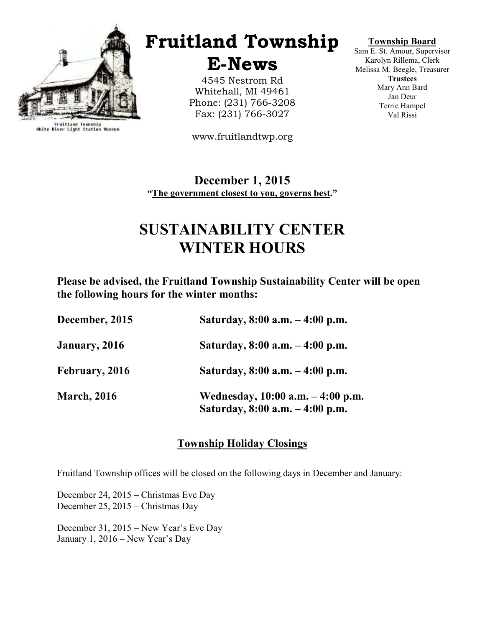

Fruitland Township<br>White River Light Station Museum

# Fruitland Township

E-News

4545 Nestrom Rd Whitehall, MI 49461 Phone: (231) 766-3208 Fax: (231) 766-3027

www.fruitlandtwp.org

#### Township Board

Sam E. St. Amour, Supervisor Karolyn Rillema, Clerk Melissa M. Beegle, Treasurer **Trustees** Mary Ann Bard Jan Deur Terrie Hampel Val Rissi

December 1, 2015 "The government closest to you, governs best."

## SUSTAINABILITY CENTER WINTER HOURS

Please be advised, the Fruitland Township Sustainability Center will be open the following hours for the winter months:

| December, 2015     | Saturday, $8:00$ a.m. $-4:00$ p.m.                                      |
|--------------------|-------------------------------------------------------------------------|
| January, 2016      | Saturday, $8:00$ a.m. $-4:00$ p.m.                                      |
| February, 2016     | Saturday, $8:00$ a.m. $-4:00$ p.m.                                      |
| <b>March, 2016</b> | Wednesday, 10:00 a.m. – 4:00 p.m.<br>Saturday, $8:00$ a.m. $-4:00$ p.m. |

## Township Holiday Closings

Fruitland Township offices will be closed on the following days in December and January:

December 24, 2015 – Christmas Eve Day December 25, 2015 – Christmas Day

December 31, 2015 – New Year's Eve Day January 1, 2016 – New Year's Day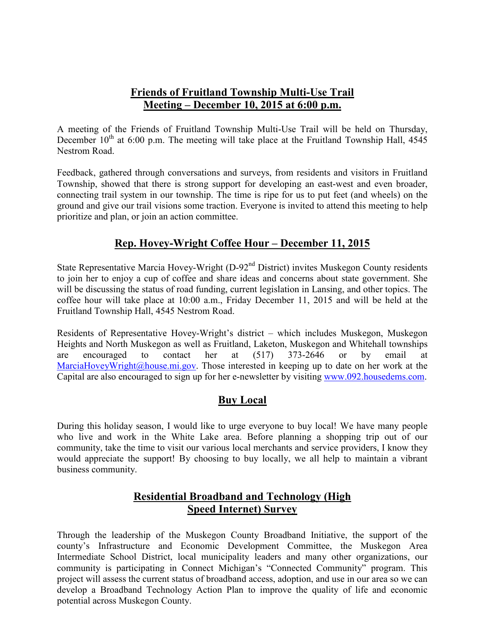## Friends of Fruitland Township Multi-Use Trail Meeting – December 10, 2015 at 6:00 p.m.

A meeting of the Friends of Fruitland Township Multi-Use Trail will be held on Thursday, December  $10^{th}$  at 6:00 p.m. The meeting will take place at the Fruitland Township Hall, 4545 Nestrom Road.

Feedback, gathered through conversations and surveys, from residents and visitors in Fruitland Township, showed that there is strong support for developing an east-west and even broader, connecting trail system in our township. The time is ripe for us to put feet (and wheels) on the ground and give our trail visions some traction. Everyone is invited to attend this meeting to help prioritize and plan, or join an action committee.

## Rep. Hovey-Wright Coffee Hour – December 11, 2015

State Representative Marcia Hovey-Wright (D-92<sup>nd</sup> District) invites Muskegon County residents to join her to enjoy a cup of coffee and share ideas and concerns about state government. She will be discussing the status of road funding, current legislation in Lansing, and other topics. The coffee hour will take place at 10:00 a.m., Friday December 11, 2015 and will be held at the Fruitland Township Hall, 4545 Nestrom Road.

Residents of Representative Hovey-Wright's district – which includes Muskegon, Muskegon Heights and North Muskegon as well as Fruitland, Laketon, Muskegon and Whitehall townships are encouraged to contact her at (517) 373-2646 or by email at MarciaHoveyWright@house.mi.gov. Those interested in keeping up to date on her work at the Capital are also encouraged to sign up for her e-newsletter by visiting www.092.housedems.com.

## Buy Local

During this holiday season, I would like to urge everyone to buy local! We have many people who live and work in the White Lake area. Before planning a shopping trip out of our community, take the time to visit our various local merchants and service providers, I know they would appreciate the support! By choosing to buy locally, we all help to maintain a vibrant business community.

### Residential Broadband and Technology (High Speed Internet) Survey

Through the leadership of the Muskegon County Broadband Initiative, the support of the county's Infrastructure and Economic Development Committee, the Muskegon Area Intermediate School District, local municipality leaders and many other organizations, our community is participating in Connect Michigan's "Connected Community" program. This project will assess the current status of broadband access, adoption, and use in our area so we can develop a Broadband Technology Action Plan to improve the quality of life and economic potential across Muskegon County.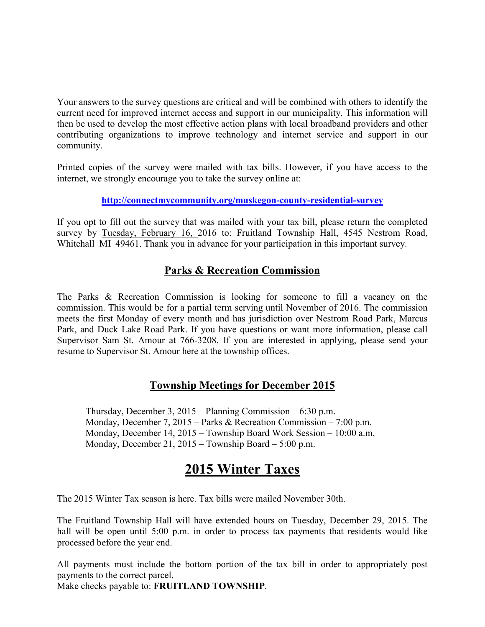Your answers to the survey questions are critical and will be combined with others to identify the current need for improved internet access and support in our municipality. This information will then be used to develop the most effective action plans with local broadband providers and other contributing organizations to improve technology and internet service and support in our community.

Printed copies of the survey were mailed with tax bills. However, if you have access to the internet, we strongly encourage you to take the survey online at:

#### http://connectmycommunity.org/muskegon-county-residential-survey

If you opt to fill out the survey that was mailed with your tax bill, please return the completed survey by Tuesday, February 16, 2016 to: Fruitland Township Hall, 4545 Nestrom Road, Whitehall MI 49461. Thank you in advance for your participation in this important survey.

## Parks & Recreation Commission

The Parks & Recreation Commission is looking for someone to fill a vacancy on the commission. This would be for a partial term serving until November of 2016. The commission meets the first Monday of every month and has jurisdiction over Nestrom Road Park, Marcus Park, and Duck Lake Road Park. If you have questions or want more information, please call Supervisor Sam St. Amour at 766-3208. If you are interested in applying, please send your resume to Supervisor St. Amour here at the township offices.

## Township Meetings for December 2015

 Thursday, December 3, 2015 – Planning Commission – 6:30 p.m. Monday, December 7, 2015 – Parks & Recreation Commission – 7:00 p.m. Monday, December 14, 2015 – Township Board Work Session – 10:00 a.m. Monday, December 21, 2015 – Township Board – 5:00 p.m.

## 2015 Winter Taxes

The 2015 Winter Tax season is here. Tax bills were mailed November 30th.

The Fruitland Township Hall will have extended hours on Tuesday, December 29, 2015. The hall will be open until 5:00 p.m. in order to process tax payments that residents would like processed before the year end.

All payments must include the bottom portion of the tax bill in order to appropriately post payments to the correct parcel.

Make checks payable to: FRUITLAND TOWNSHIP.